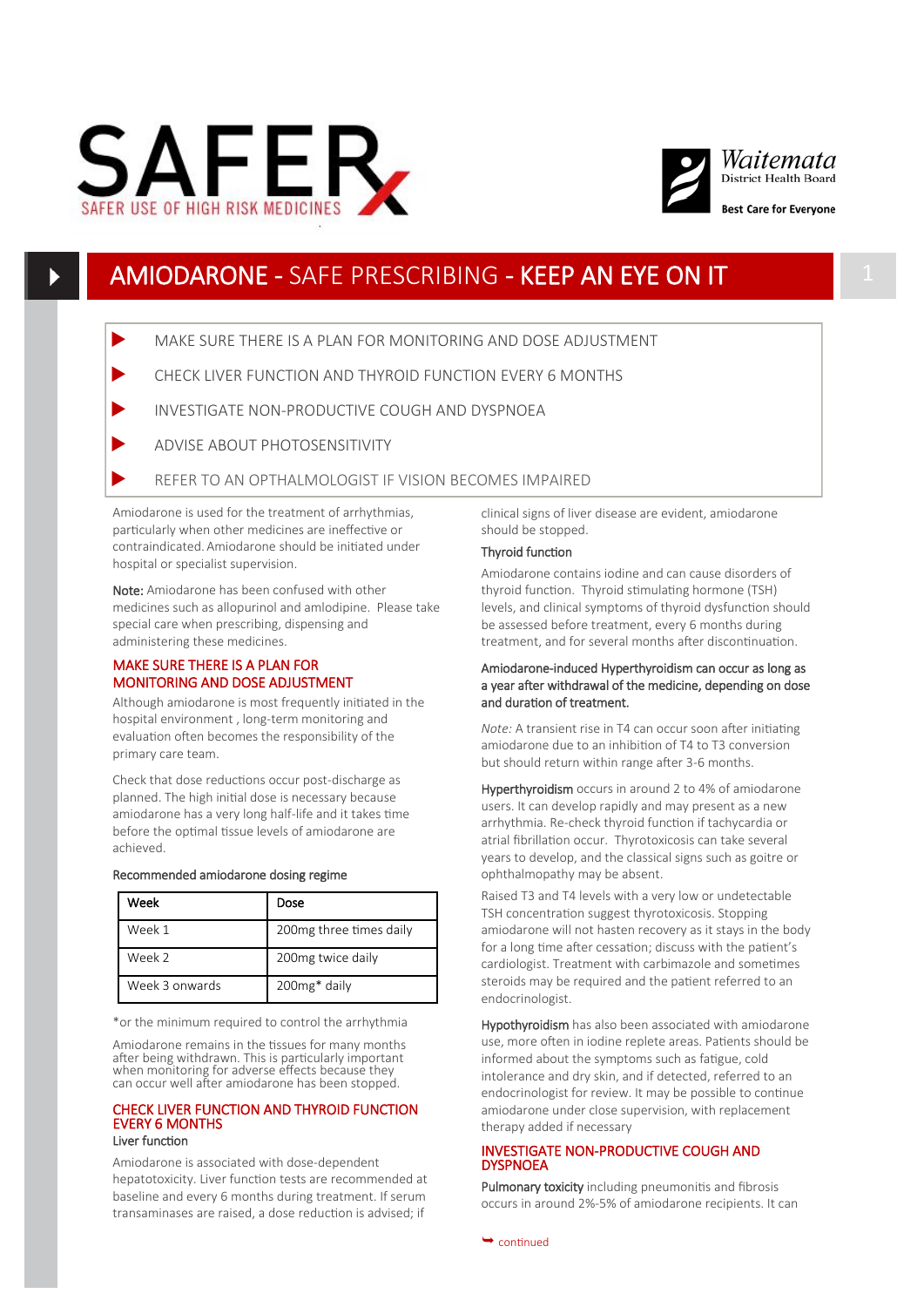



# AMIODARONE - SAFE PRESCRIBING - KEEP AN EYE ON IT 1

MAKE SURE THERE IS A PLAN FOR MONITORING AND DOSE ADJUSTMENT

- CHECK LIVER FUNCTION AND THYROID FUNCTION EVERY 6 MONTHS
- INVESTIGATE NON-PRODUCTIVE COUGH AND DYSPNOEA
- ADVISE ABOUT PHOTOSENSITIVITY
- REFER TO AN OPTHALMOLOGIST IF VISION BECOMES IMPAIRED

Amiodarone is used for the treatment of arrhythmias, particularly when other medicines are ineffective or contraindicated. Amiodarone should be initiated under hospital or specialist supervision.

Note: Amiodarone has been confused with other medicines such as allopurinol and amlodipine. Please take special care when prescribing, dispensing and administering these medicines.

### MAKE SURE THERE IS A PLAN FOR MONITORING AND DOSE ADJUSTMENT

Although amiodarone is most frequently initiated in the hospital environment , long-term monitoring and evaluation often becomes the responsibility of the primary care team.

Check that dose reductions occur post-discharge as planned. The high initial dose is necessary because amiodarone has a very long half-life and it takes time before the optimal tissue levels of amiodarone are achieved.

#### Recommended amiodarone dosing regime

| Week           | Dose                     |  |
|----------------|--------------------------|--|
| Week 1         | 200 mg three times daily |  |
| Week 2         | 200mg twice daily        |  |
| Week 3 onwards | 200mg* daily             |  |

\*or the minimum required to control the arrhythmia

Amiodarone remains in the tissues for many months after being withdrawn. This is particularly important when monitoring for adverse effects because they can occur well after amiodarone has been stopped.

#### CHECK LIVER FUNCTION AND THYROID FUNCTION EVERY 6 MONTHS Liver function

Amiodarone is associated with dose-dependent hepatotoxicity. Liver function tests are recommended at baseline and every 6 months during treatment. If serum transaminases are raised, a dose reduction is advised; if

clinical signs of liver disease are evident, amiodarone should be stopped.

#### Thyroid function

Amiodarone contains iodine and can cause disorders of thyroid function. Thyroid stimulating hormone (TSH) levels, and clinical symptoms of thyroid dysfunction should be assessed before treatment, every 6 months during treatment, and for several months after discontinuation.

#### Amiodarone-induced Hyperthyroidism can occur as long as a year after withdrawal of the medicine, depending on dose and duration of treatment.

*Note:* A transient rise in T4 can occur soon after initiating amiodarone due to an inhibition of T4 to T3 conversion but should return within range after 3-6 months.

Hyperthyroidism occurs in around 2 to 4% of amiodarone users. It can develop rapidly and may present as a new arrhythmia. Re-check thyroid function if tachycardia or atrial fibrillation occur. Thyrotoxicosis can take several years to develop, and the classical signs such as goitre or ophthalmopathy may be absent.

Raised T3 and T4 levels with a very low or undetectable TSH concentration suggest thyrotoxicosis. Stopping amiodarone will not hasten recovery as it stays in the body for a long time after cessation; discuss with the patient's cardiologist. Treatment with carbimazole and sometimes steroids may be required and the patient referred to an endocrinologist.

Hypothyroidism has also been associated with amiodarone use, more often in iodine replete areas. Patients should be informed about the symptoms such as fatigue, cold intolerance and dry skin, and if detected, referred to an endocrinologist for review. It may be possible to continue amiodarone under close supervision, with replacement therapy added if necessary

#### INVESTIGATE NON-PRODUCTIVE COUGH AND **DYSPNOEA**

Pulmonary toxicity including pneumonitis and fibrosis occurs in around 2%-5% of amiodarone recipients. It can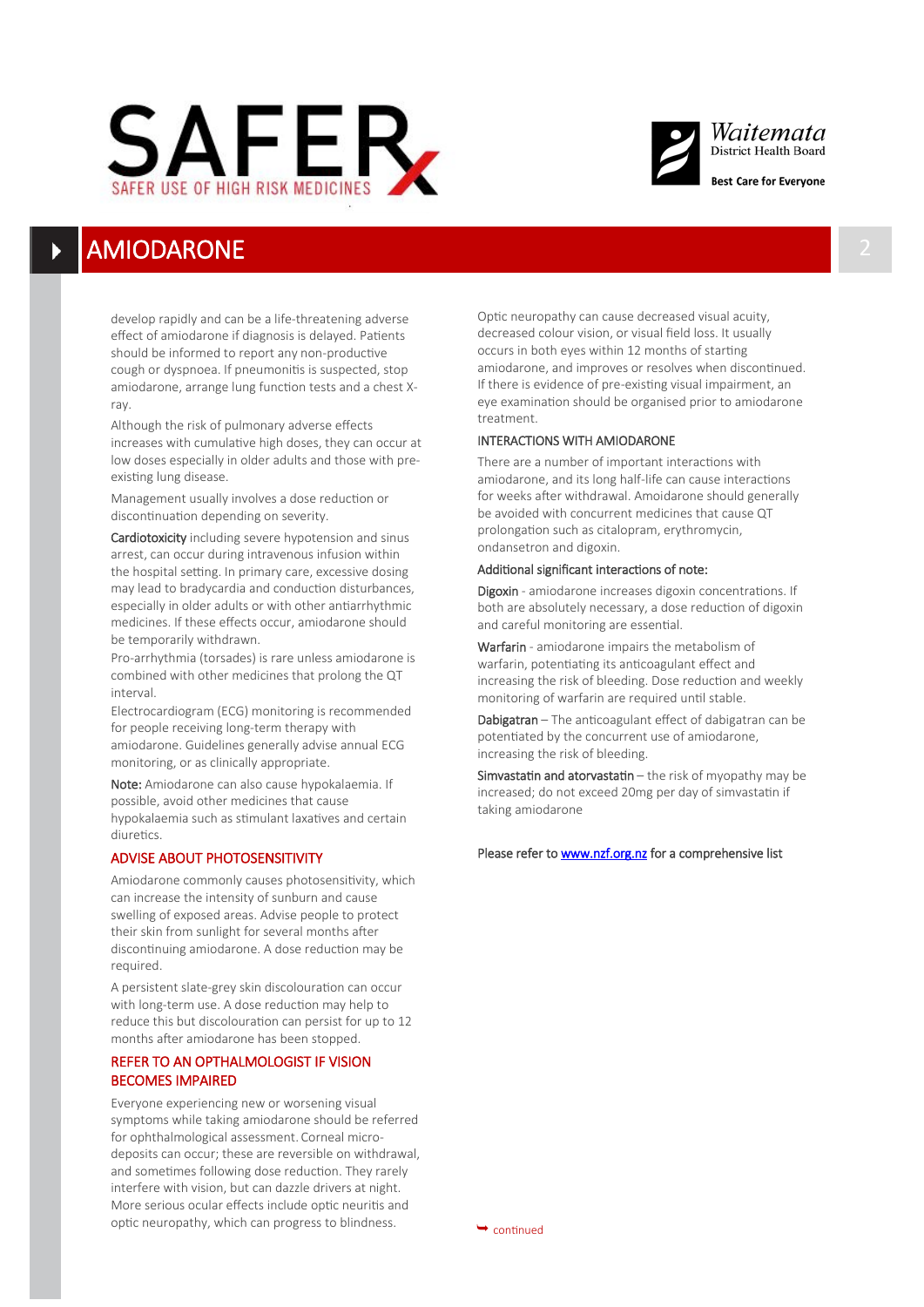



# **AMIODARONE**

develop rapidly and can be a life-threatening adverse effect of amiodarone if diagnosis is delayed. Patients should be informed to report any non-productive cough or dyspnoea. If pneumonitis is suspected, stop amiodarone, arrange lung function tests and a chest Xray.

Although the risk of pulmonary adverse effects increases with cumulative high doses, they can occur at low doses especially in older adults and those with preexisting lung disease.

Management usually involves a dose reduction or discontinuation depending on severity.

Cardiotoxicity including severe hypotension and sinus arrest, can occur during intravenous infusion within the hospital setting. In primary care, excessive dosing may lead to bradycardia and conduction disturbances, especially in older adults or with other antiarrhythmic medicines. If these effects occur, amiodarone should be temporarily withdrawn.

Pro-arrhythmia (torsades) is rare unless amiodarone is combined with other medicines that prolong the QT interval.

Electrocardiogram (ECG) monitoring is recommended for people receiving long-term therapy with amiodarone. Guidelines generally advise annual ECG monitoring, or as clinically appropriate.

Note: Amiodarone can also cause hypokalaemia. If possible, avoid other medicines that cause hypokalaemia such as stimulant laxatives and certain diuretics.

### ADVISE ABOUT PHOTOSENSITIVITY

Amiodarone commonly causes photosensitivity, which can increase the intensity of sunburn and cause swelling of exposed areas. Advise people to protect their skin from sunlight for several months after discontinuing amiodarone. A dose reduction may be required.

A persistent slate-grey skin discolouration can occur with long-term use. A dose reduction may help to reduce this but discolouration can persist for up to 12 months after amiodarone has been stopped.

## REFER TO AN OPTHALMOLOGIST IF VISION BECOMES IMPAIRED

Everyone experiencing new or worsening visual symptoms while taking amiodarone should be referred for ophthalmological assessment. Corneal microdeposits can occur; these are reversible on withdrawal, and sometimes following dose reduction. They rarely interfere with vision, but can dazzle drivers at night. More serious ocular effects include optic neuritis and optic neuropathy, which can progress to blindness.  $\rightarrow$  continued

Optic neuropathy can cause decreased visual acuity, decreased colour vision, or visual field loss. It usually occurs in both eyes within 12 months of starting amiodarone, and improves or resolves when discontinued. If there is evidence of pre-existing visual impairment, an eye examination should be organised prior to amiodarone treatment.

### INTERACTIONS WITH AMIODARONE

There are a number of important interactions with amiodarone, and its long half-life can cause interactions for weeks after withdrawal. Amoidarone should generally be avoided with concurrent medicines that cause QT prolongation such as citalopram, erythromycin, ondansetron and digoxin.

#### Additional significant interactions of note:

Digoxin - amiodarone increases digoxin concentrations. If both are absolutely necessary, a dose reduction of digoxin and careful monitoring are essential.

Warfarin - amiodarone impairs the metabolism of warfarin, potentiating its anticoagulant effect and increasing the risk of bleeding. Dose reduction and weekly monitoring of warfarin are required until stable.

Dabigatran – The anticoagulant effect of dabigatran can be potentiated by the concurrent use of amiodarone, increasing the risk of bleeding.

Simvastatin and atorvastatin – the risk of myopathy may be increased; do not exceed 20mg per day of simvastatin if taking amiodarone

#### Please refer to [www.nzf.org.nz](http://www.nzf.org.nz) for a comprehensive list